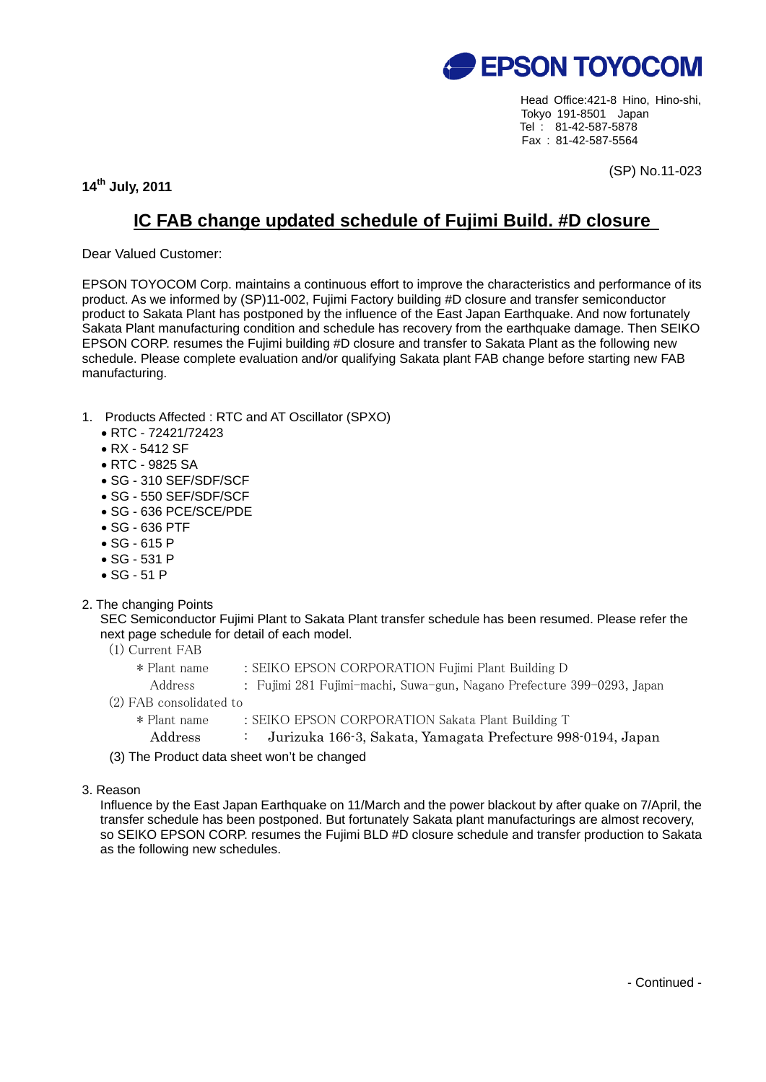

Head Office:421-8 Hino, Hino-shi, Tokyo 191-8501 Japan Tel : 81-42-587-5878 Fax : 81-42-587-5564

**14th July, 2011** 

(SP) No.11-023

## **IC FAB change updated schedule of Fujimi Build. #D closure**

Dear Valued Customer:

EPSON TOYOCOM Corp. maintains a continuous effort to improve the characteristics and performance of its product. As we informed by (SP)11-002, Fujimi Factory building #D closure and transfer semiconductor product to Sakata Plant has postponed by the influence of the East Japan Earthquake. And now fortunately Sakata Plant manufacturing condition and schedule has recovery from the earthquake damage. Then SEIKO EPSON CORP. resumes the Fujimi building #D closure and transfer to Sakata Plant as the following new schedule. Please complete evaluation and/or qualifying Sakata plant FAB change before starting new FAB manufacturing.

- 1. Products Affected : RTC and AT Oscillator (SPXO)
	- RTC 72421/72423
	- RX 5412 SF
	- RTC 9825 SA
	- SG 310 SEF/SDF/SCF
	- SG 550 SEF/SDF/SCF
	- SG 636 PCE/SCE/PDE
	- SG 636 PTF
	- SG 615 P
	- SG 531 P
	- SG 51 P
- 2. The changing Points

SEC Semiconductor Fujimi Plant to Sakata Plant transfer schedule has been resumed. Please refer the next page schedule for detail of each model.

- (1) Current FAB
	- \* Plant name : SEIKO EPSON CORPORATION Fujimi Plant Building D
		- Address : Fujimi 281 Fujimi-machi, Suwa-gun, Nagano Prefecture 399-0293, Japan
- (2) FAB consolidated to
	- \* Plant name : SEIKO EPSON CORPORATION Sakata Plant Building T
		- Address : Jurizuka 166-3, Sakata, Yamagata Prefecture 998-0194, Japan
- (3) The Product data sheet won't be changed
- 3. Reason

Influence by the East Japan Earthquake on 11/March and the power blackout by after quake on 7/April, the transfer schedule has been postponed. But fortunately Sakata plant manufacturings are almost recovery, so SEIKO EPSON CORP. resumes the Fujimi BLD #D closure schedule and transfer production to Sakata as the following new schedules.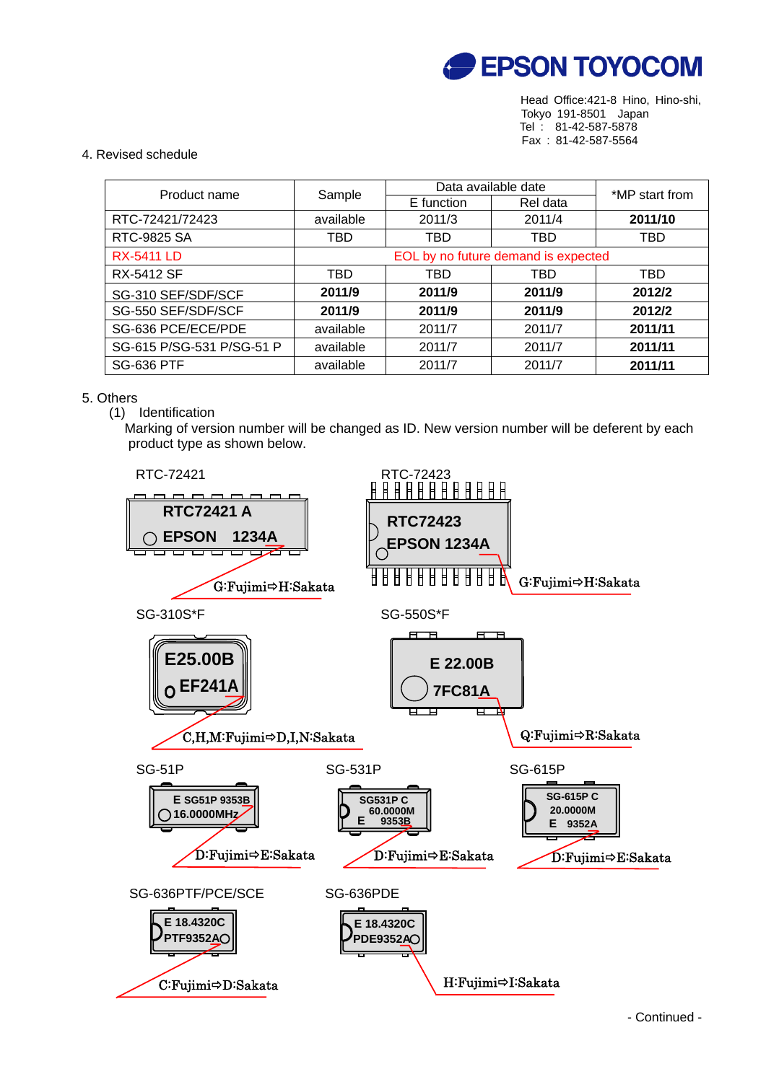

Head Office:421-8 Hino, Hino-shi, Tokyo 191-8501 Japan Tel : 81-42-587-5878 Fax : 81-42-587-5564

## 4. Revised schedule

| Product name              | Sample                              | Data available date |          | *MP start from |
|---------------------------|-------------------------------------|---------------------|----------|----------------|
|                           |                                     | E function          | Rel data |                |
| RTC-72421/72423           | available                           | 2011/3              | 2011/4   | 2011/10        |
| RTC-9825 SA               | TBD                                 | TBD                 | TBD      | TBD            |
| <b>RX-5411 LD</b>         | EOL by no future demand is expected |                     |          |                |
| <b>RX-5412 SF</b>         | TBD                                 | TBD                 | TBD      | TBD            |
| SG-310 SEF/SDF/SCF        | 2011/9                              | 2011/9              | 2011/9   | 2012/2         |
| SG-550 SEF/SDF/SCF        | 2011/9                              | 2011/9              | 2011/9   | 2012/2         |
| SG-636 PCE/ECE/PDE        | available                           | 2011/7              | 2011/7   | 2011/11        |
| SG-615 P/SG-531 P/SG-51 P | available                           | 2011/7              | 2011/7   | 2011/11        |
| <b>SG-636 PTF</b>         | available                           | 2011/7              | 2011/7   | 2011/11        |

## 5. Others

## (1) Identification

 Marking of version number will be changed as ID. New version number will be deferent by each product type as shown below.